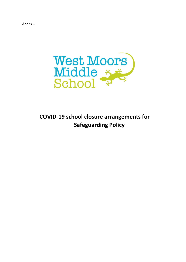**Annex 1** 



**COVID-19 school closure arrangements for Safeguarding Policy**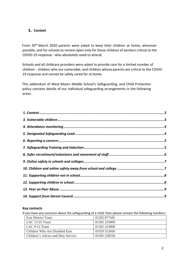# <span id="page-1-0"></span>**1. Context**

From 20th March 2020 parents were asked to keep their children at home, wherever possible, and for schools to remain open only for those children of workers critical to the COVID-19 response - who absolutely need to attend.

Schools and all childcare providers were asked to provide care for a limited number of children - children who are vulnerable, and children whose parents are critical to the COVID-19 response and cannot be safely cared for at home.

This addendum of West Moors Middle School's Safeguarding, and Child Protection policy contains details of our individual safeguarding arrangements in the following areas:

#### **Key contacts**

If you have any concerns about the safeguarding of a child, then please contact the following numbers:

| East District Team                 | 01202 877445 |
|------------------------------------|--------------|
| LAC 13-25 Team                     | 01305 225809 |
| LAC $0-12$ Team                    | 01305 225808 |
| Children Who Are Disabled East     | 01929 553456 |
| Children's Advice and Duty Service | 01305 228558 |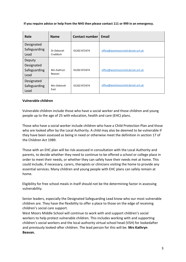**If you require advice or help from the NHS then please contact 111 or 999 in an emergency.** 

| <b>Role</b>                                  | <b>Name</b>            | <b>Contact number</b> | Email                             |
|----------------------------------------------|------------------------|-----------------------|-----------------------------------|
| Designated<br>Safeguarding<br>Lead           | Dr Deborah<br>Craddock | 01202 872474          | office@westmoorsmid.dorset.sch.uk |
| Deputy<br>Designated<br>Safeguarding<br>Lead | Mrs Kathryn<br>Beavan  | 01202 872474          | office@westmoorsmid.dorset.sch.uk |
| Designated<br>Safeguarding<br>Lead           | Mrs Deborah<br>East    | 01202872474           | office@westmoorsmid.dorset.sch.uk |

# <span id="page-2-0"></span>**Vulnerable children**

Vulnerable children include those who have a social worker and those children and young people up to the age of 25 with education, health and care (EHC) plans.

Those who have a social worker include children who have a Child Protection Plan and those who are looked after by the Local Authority. A child may also be deemed to be vulnerable if they have been assessed as being in need or otherwise meet the definition in section 17 of the Children Act 1989.

Those with an EHC plan will be risk-assessed in consultation with the Local Authority and parents, to decide whether they need to continue to be offered a school or college place in order to meet their needs, or whether they can safely have their needs met at home. This could include, if necessary, carers, therapists or clinicians visiting the home to provide any essential services. Many children and young people with EHC plans can safely remain at home.

Eligibility for free school meals in itself should not be the determining factor in assessing vulnerability.

Senior leaders, especially the Designated Safeguarding Lead know who our most vulnerable children are. They have the flexibility to offer a place to those on the edge of receiving children's social care support.

West Moors Middle School will continue to work with and support children's social workers to help protect vulnerable children. This includes working with and supporting children's social workers and the local authority virtual school head (VSH) for lookedafter and previously looked-after children. The lead person for this will be: **Mrs Kathryn Beavan.**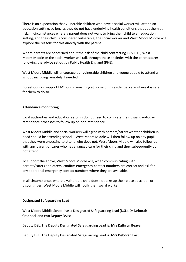There is an expectation that vulnerable children who have a social worker will attend an education setting, so long as they do not have underlying health conditions that put them at risk. In circumstances where a parent does not want to bring their child to an education setting, and their child is considered vulnerable, the social worker and West Moors Middle will explore the reasons for this directly with the parent.

Where parents are concerned about the risk of the child contracting COVID19, West Moors Middle or the social worker will talk through these anxieties with the parent/carer following the advice set out by Public Health England (PHE).

West Moors Middle will encourage our vulnerable children and young people to attend a school, including remotely if needed.

Dorset Council support LAC pupils remaining at home or in residential care where it is safe for them to do so.

# <span id="page-3-0"></span>**Attendance monitoring**

Local authorities and education settings do not need to complete their usual day-today attendance processes to follow up on non-attendance.

West Moors Middle and social workers will agree with parents/carers whether children in need should be attending school – West Moors Middle will then follow up on any pupil that they were expecting to attend who does not. West Moors Middle will also follow up with any parent or carer who has arranged care for their child and they subsequently do not attend.

To support the above, West Moors Middle will, when communicating with parents/carers and carers, confirm emergency contact numbers are correct and ask for any additional emergency contact numbers where they are available.

In all circumstances where a vulnerable child does not take up their place at school, or discontinues, West Moors Middle will notify their social worker.

### <span id="page-3-1"></span>**Designated Safeguarding Lead**

West Moors Middle School has a Designated Safeguarding Lead (DSL), Dr Deborah Craddock and two Deputy DSLs:

Deputy DSL. The Deputy Designated Safeguarding Lead is: **Mrs Kathryn Beavan** 

Deputy DSL. The Deputy Designated Safeguarding Lead is: **Mrs Deborah East**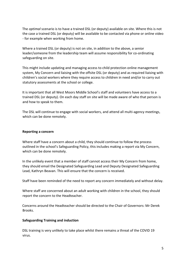The *optimal* scenario is to have a trained DSL (or deputy) available on site. Where this is not the case a trained DSL (or deputy) will be available to be contacted via phone or online video - for example when working from home.

Where a trained DSL (or deputy) is not on site, in addition to the above, a senior leader/someone from the leadership team will assume responsibility for co-ordinating safeguarding on site.

This might include updating and managing access to child protection online management system, My Concern and liaising with the offsite DSL (or deputy) and as required liaising with children's social workers where they require access to children in need and/or to carry out statutory assessments at the school or college.

It is important that all West Moors Middle School's staff and volunteers have access to a trained DSL (or deputy). On each day staff on site will be made aware of who that person is and how to speak to them.

The DSL will continue to engage with social workers, and attend all multi-agency meetings, which can be done remotely.

### <span id="page-4-0"></span>**Reporting a concern**

Where staff have a concern about a child, they should continue to follow the process outlined in the school's Safeguarding Policy, this includes making a report via My Concern, which can be done remotely.

In the unlikely event that a member of staff cannot access their My Concern from home, they should email the Designated Safeguarding Lead and Deputy Designated Safeguarding Lead, Kathryn Beavan. This will ensure that the concern is received.

Staff have been reminded of the need to report any concern immediately and without delay.

Where staff are concerned about an adult working with children in the school, they should report the concern to the Headteacher.

Concerns around the Headteacher should be directed to the Chair of Governors: Mr Derek Brooks.

### <span id="page-4-1"></span>**Safeguarding Training and induction**

DSL training is very unlikely to take place whilst there remains a threat of the COVID 19 virus.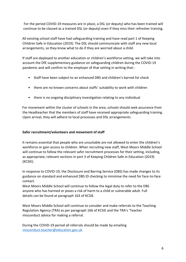For the period COVID-19 measures are in place, a DSL (or deputy) who has been trained will continue to be classed as a trained DSL (or deputy) even if they miss their refresher training.

All existing school staff have had safeguarding training and have read part 1 of Keeping Children Safe in Education (2019). The DSL should communicate with staff any new local arrangements, so they know what to do if they are worried about a child.

If staff are deployed to another education or children's workforce setting, we will take into account the DfE supplementary guidance on safeguarding children during the COVID-19 pandemic and will confirm to the employer of that setting in writing that:-

- Staff have been subject to an enhanced DBS and children's barred list check
- there are no known concerns about staffs' suitability to work with children
- there is no ongoing disciplinary investigation relating to any individual

For movement within the cluster of schools in the area, schools should seek assurance from the Headteacher that the members of staff have received appropriate safeguarding training. Upon arrival, they will adhere to local processes and DSL arrangements.

# <span id="page-5-0"></span>**Safer recruitment/volunteers and movement of staff**

It remains essential that people who are unsuitable are not allowed to enter the children's workforce or gain access to children. When recruiting new staff, West Moors Middle School will continue to follow the relevant safer recruitment processes for their setting, including, as appropriate, relevant sections in part 3 of Keeping Children Safe in Education (2019) (KCSIE).

In response to COVID-19, the Disclosure and Barring Service (DBS) has made changes to its guidance on standard and enhanced DBS ID checking to minimise the need for face-to-face contact.

West Moors Middle School will continue to follow the legal duty to refer to the DBS anyone who has harmed or poses a risk of harm to a child or vulnerable adult. Full details can be found at paragraph 163 of KCSIE.

West Moors Middle School will continue to consider and make referrals to the Teaching Regulation Agency (TRA) as per paragraph 166 of KCSIE and the TRA's 'Teacher misconduct advice for making a referral.

During the COVID-19 period all referrals should be made by emailing misconduct.teacher@education.gov.uk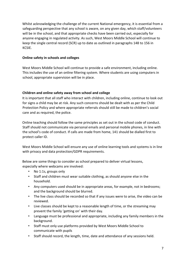Whilst acknowledging the challenge of the current National emergency, it is essential from a safeguarding perspective that any school is aware, on any given day, which staff/volunteers will be in the school, and that appropriate checks have been carried out, especially for anyone engaging in regulated activity. As such, West Moors Middle School will continue to keep the single central record (SCR) up to date as outlined in paragraphs 148 to 156 in KCSIE.

### <span id="page-6-0"></span>**Online safety in schools and colleges**

West Moors Middle School will continue to provide a safe environment, including online. This includes the use of an online filtering system. Where students are using computers in school, appropriate supervision will be in place.

# <span id="page-6-1"></span>**Children and online safety away from school and college**

It is important that all staff who interact with children, including online, continue to look out for signs a child may be at risk. Any such concerns should be dealt with as per the Child Protection Policy and where appropriate referrals should still be made to children's social care and as required, the police.

Online teaching should follow the same principles as set out in the school code of conduct. Staff should not communicate via personal emails and personal mobile phones, in line with the school's code of conduct. If calls are made from home, 141 should be dialled first to protect caller ID.

West Moors Middle School will ensure any use of online learning tools and systems is in line with privacy and data protection/GDPR requirements.

Below are some things to consider as school prepared to deliver virtual lessons, especially where webcams are involved:

- No 1:1s, groups only
- Staff and children must wear suitable clothing, as should anyone else in the household.
- Any computers used should be in appropriate areas, for example, not in bedrooms; and the background should be blurred.
- The live class should be recorded so that if any issues were to arise, the video can be reviewed.
- Live classes should be kept to a reasonable length of time, or the streaming may prevent the family 'getting on' with their day.
- Language must be professional and appropriate, including any family members in the background.
- Staff must only use platforms provided by West Moors Middle School to communicate with pupils
- Staff should record, the length, time, date and attendance of any sessions held.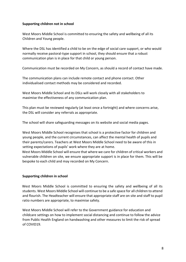### <span id="page-7-0"></span>**Supporting children not in school**

West Moors Middle School is committed to ensuring the safety and wellbeing of all its Children and Young people.

Where the DSL has identified a child to be on the edge of social care support, or who would normally receive pastoral-type support in school, they should ensure that a robust communication plan is in place for that child or young person.

Communication must be recorded on My Concern, as should a record of contact have made.

The communication plans can include remote contact and phone contact. Other individualised contact methods may be considered and recorded.

West Moors Middle School and its DSLs will work closely with all stakeholders to maximise the effectiveness of any communication plan.

This plan must be reviewed regularly (at least once a fortnight) and where concerns arise, the DSL will consider any referrals as appropriate.

The school will share safeguarding messages on its website and social media pages.

West Moors Middle School recognises that school is a protective factor for children and young people, and the current circumstances, can affect the mental health of pupils and their parents/carers. Teachers at West Moors Middle School need to be aware of this in setting expectations of pupils' work where they are at home.

West Moors Middle School will ensure that where we care for children of critical workers and vulnerable children on site, we ensure appropriate support is in place for them. This will be bespoke to each child and may recorded on My Concern.

### <span id="page-7-1"></span>**Supporting children in school**

West Moors Middle School is committed to ensuring the safety and wellbeing of all its students. West Moors Middle School will continue to be a safe space for all children to attend and flourish. The Headteacher will ensure that appropriate staff are on site and staff to pupil ratio numbers are appropriate, to maximise safety.

West Moors Middle School will refer to the Government guidance for education and childcare settings on how to implement social distancing and continue to follow the advice from Public Health England on handwashing and other measures to limit the risk of spread of COVID19.